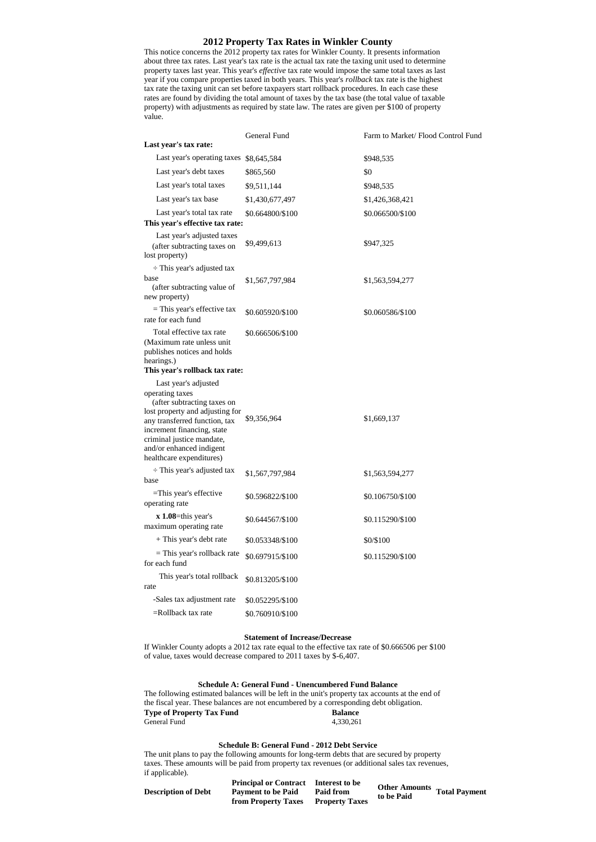### **2012 Property Tax Rates in Winkler County**

This notice concerns the 2012 property tax rates for Winkler County. It presents information about three tax rates. Last year's tax rate is the actual tax rate the taxing unit used to determine property taxes last year. This year's *effective* tax rate would impose the same total taxes as last year if you compare properties taxed in both years. This year's *rollback* tax rate is the highest tax rate the taxing unit can set before taxpayers start rollback procedures. In each case these rates are found by dividing the total amount of taxes by the tax base (the total value of taxable property) with adjustments as required by state law. The rates are given per \$100 of property value.

|                                                                                                                                                                                                                                       | General Fund     | Farm to Market/ Flood Control Fund |
|---------------------------------------------------------------------------------------------------------------------------------------------------------------------------------------------------------------------------------------|------------------|------------------------------------|
| Last year's tax rate:                                                                                                                                                                                                                 |                  |                                    |
| Last year's operating taxes \$8,645,584                                                                                                                                                                                               |                  | \$948,535                          |
| Last year's debt taxes                                                                                                                                                                                                                | \$865,560        | \$0                                |
| Last year's total taxes                                                                                                                                                                                                               | \$9,511,144      | \$948,535                          |
| Last year's tax base                                                                                                                                                                                                                  | \$1,430,677,497  | \$1,426,368,421                    |
| Last year's total tax rate<br>This year's effective tax rate:                                                                                                                                                                         | \$0.664800/\$100 | \$0.066500/\$100                   |
| Last year's adjusted taxes<br>(after subtracting taxes on<br>lost property)                                                                                                                                                           | \$9,499,613      | \$947,325                          |
| $\div$ This year's adjusted tax                                                                                                                                                                                                       |                  |                                    |
| base<br>(after subtracting value of<br>new property)                                                                                                                                                                                  | \$1,567,797,984  | \$1,563,594,277                    |
| $=$ This year's effective tax<br>rate for each fund                                                                                                                                                                                   | \$0.605920/\$100 | \$0.060586/\$100                   |
| Total effective tax rate<br>(Maximum rate unless unit)<br>publishes notices and holds<br>hearings.)<br>This year's rollback tax rate:                                                                                                 | \$0.666506/\$100 |                                    |
| Last year's adjusted                                                                                                                                                                                                                  |                  |                                    |
| operating taxes<br>(after subtracting taxes on<br>lost property and adjusting for<br>any transferred function, tax<br>increment financing, state<br>criminal justice mandate,<br>and/or enhanced indigent<br>healthcare expenditures) | \$9,356,964      | \$1,669,137                        |
| $\div$ This year's adjusted tax<br>base                                                                                                                                                                                               | \$1,567,797,984  | \$1,563,594,277                    |
| =This year's effective<br>operating rate                                                                                                                                                                                              | \$0.596822/\$100 | \$0.106750/\$100                   |
| $x$ 1.08=this year's<br>maximum operating rate                                                                                                                                                                                        | \$0.644567/\$100 | \$0.115290/\$100                   |
| + This year's debt rate                                                                                                                                                                                                               | \$0.053348/\$100 | \$0/\$100                          |
| = This year's rollback rate<br>for each fund                                                                                                                                                                                          | \$0.697915/\$100 | \$0.115290/\$100                   |
| This year's total rollback<br>rate                                                                                                                                                                                                    | \$0.813205/\$100 |                                    |
| -Sales tax adjustment rate                                                                                                                                                                                                            | \$0.052295/\$100 |                                    |
| $=$ Rollback tax rate                                                                                                                                                                                                                 | \$0.760910/\$100 |                                    |

#### **Statement of Increase/Decrease**

If Winkler County adopts a 2012 tax rate equal to the effective tax rate of \$0.666506 per \$100 of value, taxes would decrease compared to 2011 taxes by \$-6,407.

### **Schedule A: General Fund - Unencumbered Fund Balance**

The following estimated balances will be left in the unit's property tax accounts at the end of the fiscal year. These balances are not encumbered by a corresponding debt obligation. **Type of Property Tax Fund Balance**<br>General Fund **Balance**<br>4,330,261 General Fund

# **Schedule B: General Fund - 2012 Debt Service**

The unit plans to pay the following amounts for long-term debts that are secured by property taxes. These amounts will be paid from property tax revenues (or additional sales tax revenues, if applicable).

| <b>Description of Debt</b> | <b>Principal or Contract</b> Interest to be<br><b>Payment to be Paid</b><br>from Property Taxes | Paid from<br><b>Property Taxes</b> | <b>Other Amounts</b><br>to be Paid | <b>Total Payment</b> |
|----------------------------|-------------------------------------------------------------------------------------------------|------------------------------------|------------------------------------|----------------------|
|----------------------------|-------------------------------------------------------------------------------------------------|------------------------------------|------------------------------------|----------------------|